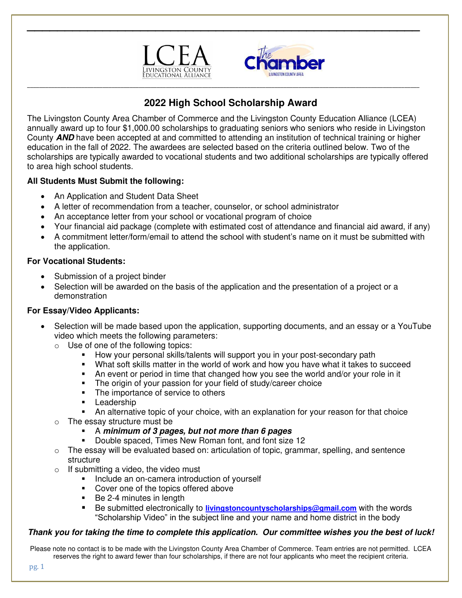



# **2022 High School Scholarship Award**

**\_\_\_\_\_\_\_\_\_\_\_\_\_\_\_\_\_\_\_\_\_\_\_\_\_\_\_\_\_\_\_\_\_\_\_\_\_\_\_\_\_\_\_\_\_\_\_\_\_\_\_\_\_\_\_\_\_\_\_\_\_\_\_\_\_\_\_\_\_\_\_\_\_\_\_\_\_\_\_\_\_\_\_\_\_\_\_\_\_\_\_\_\_\_\_\_\_\_\_\_\_\_\_\_\_\_\_\_\_\_\_\_\_\_\_\_\_\_\_\_\_\_\_\_\_\_\_\_\_\_** 

**\_\_\_\_\_\_\_\_\_\_\_\_\_\_\_\_\_\_\_\_\_\_\_\_\_\_\_\_\_\_\_\_\_\_\_\_\_\_\_\_\_\_\_\_\_\_\_\_\_\_\_\_** 

The Livingston County Area Chamber of Commerce and the Livingston County Education Alliance (LCEA) annually award up to four \$1,000.00 scholarships to graduating seniors who seniors who reside in Livingston County **AND** have been accepted at and committed to attending an institution of technical training or higher education in the fall of 2022. The awardees are selected based on the criteria outlined below. Two of the scholarships are typically awarded to vocational students and two additional scholarships are typically offered to area high school students.

#### **All Students Must Submit the following:**

- An Application and Student Data Sheet
- A letter of recommendation from a teacher, counselor, or school administrator
- An acceptance letter from your school or vocational program of choice
- Your financial aid package (complete with estimated cost of attendance and financial aid award, if any)
- A commitment letter/form/email to attend the school with student's name on it must be submitted with the application.

### **For Vocational Students:**

- Submission of a project binder
- Selection will be awarded on the basis of the application and the presentation of a project or a demonstration

#### **For Essay/Video Applicants:**

- Selection will be made based upon the application, supporting documents, and an essay or a YouTube video which meets the following parameters:
	- o Use of one of the following topics:
		- **■** How your personal skills/talents will support you in your post-secondary path
		- What soft skills matter in the world of work and how you have what it takes to succeed
		- An event or period in time that changed how you see the world and/or your role in it
		- **•** The origin of your passion for your field of study/career choice
		- The importance of service to others<br>■ Leadership
		- Leadership
		- **•** An alternative topic of your choice, with an explanation for your reason for that choice
		- The essay structure must be

# ▪ A **minimum of 3 pages, but not more than 6 pages**

- Double spaced, Times New Roman font, and font size 12
- o The essay will be evaluated based on: articulation of topic, grammar, spelling, and sentence structure
- o If submitting a video, the video must
	- **•** Include an on-camera introduction of yourself
	- Cover one of the topics offered above
	- Be 2-4 minutes in length
	- Be submitted electronically to [livingstoncountyscholarships@gmail.com](mailto:livingstoncountyscholarships@gmail.com) with the words "Scholarship Video" in the subject line and your name and home district in the body

# **Thank you for taking the time to complete this application. Our committee wishes you the best of luck!**

Please note no contact is to be made with the Livingston County Area Chamber of Commerce. Team entries are not permitted. LCEA reserves the right to award fewer than four scholarships, if there are not four applicants who meet the recipient criteria.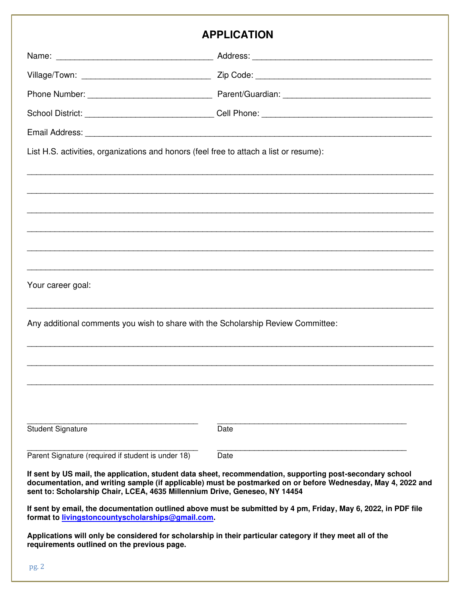# **APPLICATION**

| <b>APPLICATION</b>                                                                     |                                                                                                                                                                                                                           |  |
|----------------------------------------------------------------------------------------|---------------------------------------------------------------------------------------------------------------------------------------------------------------------------------------------------------------------------|--|
|                                                                                        |                                                                                                                                                                                                                           |  |
|                                                                                        |                                                                                                                                                                                                                           |  |
|                                                                                        |                                                                                                                                                                                                                           |  |
|                                                                                        |                                                                                                                                                                                                                           |  |
|                                                                                        |                                                                                                                                                                                                                           |  |
| List H.S. activities, organizations and honors (feel free to attach a list or resume): |                                                                                                                                                                                                                           |  |
|                                                                                        |                                                                                                                                                                                                                           |  |
|                                                                                        |                                                                                                                                                                                                                           |  |
| Your career goal:                                                                      |                                                                                                                                                                                                                           |  |
| Any additional comments you wish to share with the Scholarship Review Committee:       |                                                                                                                                                                                                                           |  |
|                                                                                        |                                                                                                                                                                                                                           |  |
| <b>Student Signature</b>                                                               | Date                                                                                                                                                                                                                      |  |
| Parent Signature (required if student is under 18)                                     | Date                                                                                                                                                                                                                      |  |
| sent to: Scholarship Chair, LCEA, 4635 Millennium Drive, Geneseo, NY 14454             | If sent by US mail, the application, student data sheet, recommendation, supporting post-secondary school<br>documentation, and writing sample (if applicable) must be postmarked on or before Wednesday, May 4, 2022 and |  |
| format to livingstoncountyscholarships@gmail.com.                                      | If sent by email, the documentation outlined above must be submitted by 4 pm, Friday, May 6, 2022, in PDF file                                                                                                            |  |
| requirements outlined on the previous page.                                            | Applications will only be considered for scholarship in their particular category if they meet all of the                                                                                                                 |  |